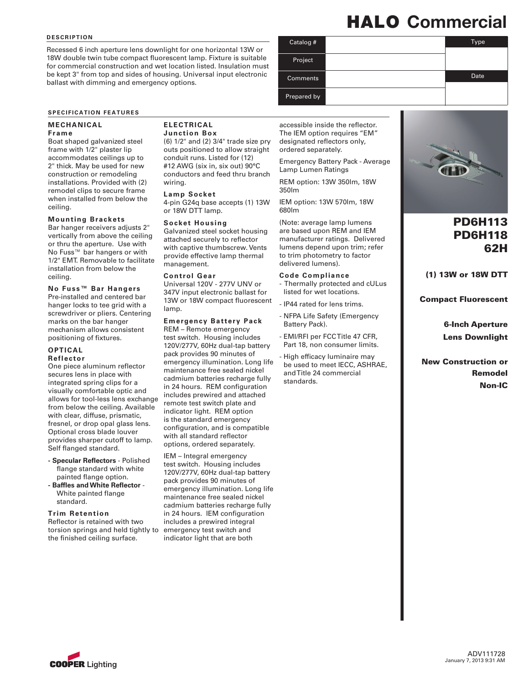#### **d escription**

Recessed 6 inch aperture lens downlight for one horizontal 13W or 18W double twin tube compact fluorescent lamp. Fixture is suitable for commercial construction and wet location listed. Insulation must be kept 3" from top and sides of housing. Universal input electronic ballast with dimming and emergency options.

#### **SPECIFICATION FEATURES**

#### **Mechanical**

#### **Frame**

Boat shaped galvanized steel frame with 1/2" plaster lip accommodates ceilings up to 2" thick. May be used for new construction or remodeling installations. Provided with (2) remodel clips to secure frame when installed from below the ceiling.

#### **Mounting Brackets**

Bar hanger receivers adjusts 2" vertically from above the ceiling or thru the aperture. Use with No Fuss™ bar hangers or with 1/2" EMT. Removable to facilitate installation from below the ceiling.

**No Fuss™ Bar Hangers** Pre-installed and centered bar hanger locks to tee grid with a screwdriver or pliers. Centering marks on the bar hanger mechanism allows consistent positioning of fixtures.

#### **Optical Reflector**

One piece aluminum reflector secures lens in place with integrated spring clips for a visually comfortable optic and allows for tool-less lens exchange from below the ceiling. Available with clear, diffuse, prismatic, fresnel, or drop opal glass lens. Optional cross blade louver provides sharper cutoff to lamp. Self flanged standard.

- **- Specular Reflectors** Polished flange standard with white painted flange option.
- **- Baffles and White Reflector** White painted flange standard.

#### **Trim Retention**

Reflector is retained with two torsion springs and held tightly to the finished ceiling surface.

#### **Electrical Junction Box**

(6) 1/2" and (2) 3/4" trade size pry outs positioned to allow straight conduit runs. Listed for (12) #12 AWG (six in, six out) 90°C conductors and feed thru branch wiring.

#### **Lamp Socket**

4-pin G24q base accepts (1) 13W or 18W DTT lamp.

#### **Socket Housing**

Galvanized steel socket housing attached securely to reflector with captive thumbscrew. Vents provide effective lamp thermal management.

#### **Control Gear**

Universal 120V - 277V UNV or 347V input electronic ballast for 13W or 18W compact fluorescent lamp.

#### **Emergency Battery Pack**

REM – Remote emergency test switch. Housing includes 120V/277V, 60Hz dual-tap battery pack provides 90 minutes of emergency illumination. Long life maintenance free sealed nickel cadmium batteries recharge fully in 24 hours. REM configuration includes prewired and attached remote test switch plate and indicator light. REM option is the standard emergency configuration, and is compatible with all standard reflector options, ordered separately.

IEM – Integral emergency test switch. Housing includes 120V/277V, 60Hz dual-tap battery pack provides 90 minutes of emergency illumination. Long life maintenance free sealed nickel cadmium batteries recharge fully in 24 hours. IEM configuration includes a prewired integral emergency test switch and indicator light that are both

### HALO Commercial

| Catalog #       | Type |
|-----------------|------|
| Project         |      |
| <b>Comments</b> | Date |
| Prepared by     |      |

accessible inside the reflector. The IEM option requires "EM" designated reflectors only, ordered separately.

Emergency Battery Pack - Average Lamp Lumen Ratings

REM option: 13W 350lm, 18W 350lm

IEM option: 13W 570lm, 18W 680lm

(Note: average lamp lumens are based upon REM and IEM manufacturer ratings. Delivered lumens depend upon trim; refer to trim photometry to factor delivered lumens).

#### **Code Compliance**

- Thermally protected and cULus listed for wet locations.
- IP44 rated for lens trims.
- NFPA Life Safety (Emergency Battery Pack).
- EMI/RFI per FCC Title 47 CFR, Part 18, non consumer limits.
- High efficacy luminaire may be used to meet IECC, ASHRAE, and Title 24 commercial standards.



### PD6H113 PD6H118 62H

(1) 13W or 18W DTT

Compact Fluorescent

6-Inch Aperture Lens Downlight

New Construction or Remodel Non-IC

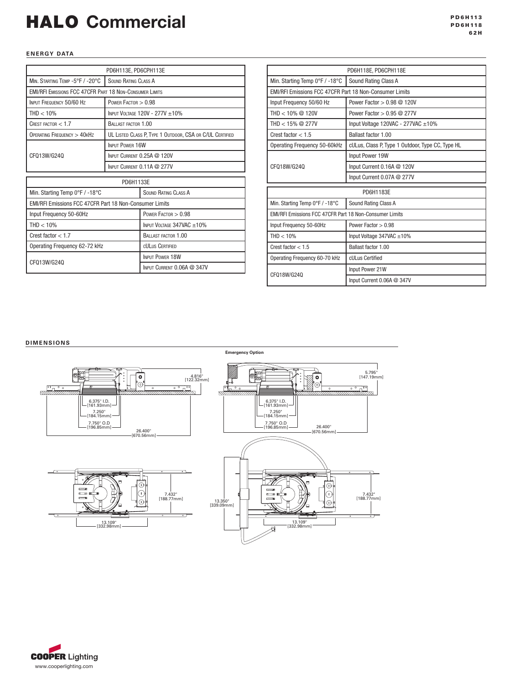# HALO Commercial

#### **ENERGY DATA**

| PD6H113E, PD6CPH113E                                           |                                                                |                                                          |  |  |  |
|----------------------------------------------------------------|----------------------------------------------------------------|----------------------------------------------------------|--|--|--|
| MIN. STARTING TEMP -5°F / -20°C                                | <b>SOUND RATING CLASS A</b>                                    |                                                          |  |  |  |
|                                                                | <b>EMI/RFI EMISSIONS FCC 47CFR PART 18 NON-CONSUMER LIMITS</b> |                                                          |  |  |  |
| INPUT FREQUENCY 50/60 Hz                                       | POWER FACTOR $> 0.98$                                          |                                                          |  |  |  |
| $THD < 10\%$                                                   |                                                                | INPUT VOLTAGE 120V - 277V ±10%                           |  |  |  |
| CREST FACTOR $<$ 1.7                                           | BALLAST FACTOR 1.00                                            |                                                          |  |  |  |
| OPERATING FREQUENCY > 40KHZ                                    |                                                                | UL LISTED CLASS P, TYPE 1 OUTDOOR, CSA OR C/UL CERTIFIED |  |  |  |
|                                                                | <b>INPUT POWER 16W</b>                                         |                                                          |  |  |  |
| CF013W/G240                                                    | INPUT CURRENT 0.25A @ 120V                                     |                                                          |  |  |  |
|                                                                | INPUT CURRENT 0.11A @ 277V                                     |                                                          |  |  |  |
| PD6H1133E                                                      |                                                                |                                                          |  |  |  |
| Min. Starting Temp 0°F / -18°C                                 |                                                                | <b>SOUND RATING CLASS A</b>                              |  |  |  |
| <b>EMI/RFI Emissions FCC 47CFR Part 18 Non-Consumer Limits</b> |                                                                |                                                          |  |  |  |
| Input Frequency 50-60Hz                                        |                                                                | POWER FACTOR $> 0.98$                                    |  |  |  |
| $THD < 10\%$                                                   |                                                                | INPUT VOLTAGE 347VAC ±10%                                |  |  |  |
| Crest factor $< 1.7$                                           |                                                                | BALLAST FACTOR 1.00                                      |  |  |  |
| Operating Frequency 62-72 kHz                                  |                                                                | <b>CULUS CERTIFIED</b>                                   |  |  |  |
|                                                                |                                                                | <b>INPUT POWER 18W</b>                                   |  |  |  |
| CFQ13W/G24Q                                                    |                                                                | INPUT CURRENT 0.06A @ 347V                               |  |  |  |

|                                                         | PD6H118E, PD6CPH118E                                           |  |  |
|---------------------------------------------------------|----------------------------------------------------------------|--|--|
| Min. Starting Temp 0°F / -18°C                          | Sound Rating Class A                                           |  |  |
|                                                         | <b>EMI/RFI Emissions FCC 47CFR Part 18 Non-Consumer Limits</b> |  |  |
| Input Frequency 50/60 Hz                                | Power Factor > 0.98 @ 120V                                     |  |  |
| THD < $10\%$ @ 120V                                     | Power Factor $> 0.95$ @ 277V                                   |  |  |
| THD < $15\%$ @ 277V                                     | Input Voltage 120VAC - 277VAC ±10%                             |  |  |
| Crest factor $< 1.5$                                    | Ballast factor 1.00                                            |  |  |
| Operating Frequency 50-60kHz                            | cULus, Class P, Type 1 Outdoor, Type CC, Type HL               |  |  |
|                                                         | Input Power 19W                                                |  |  |
| CF018W/G240                                             | Input Current 0.16A @ 120V                                     |  |  |
|                                                         | Input Current 0.07A @ 277V                                     |  |  |
|                                                         | PD6H1183E                                                      |  |  |
| Min. Starting Temp 0°F / -18°C                          | Sound Rating Class A                                           |  |  |
| EMI/RFI Emissions FCC 47CFR Part 18 Non-Consumer Limits |                                                                |  |  |
| Input Frequency 50-60Hz                                 | Power Factor $> 0.98$                                          |  |  |
| $THD < 10\%$                                            | Input Voltage $347$ VAC $\pm 10\%$                             |  |  |
| Crest factor $< 1.5$                                    | Ballast factor 1.00                                            |  |  |
| Operating Frequency 60-70 kHz                           | cULus Certified                                                |  |  |
|                                                         | Input Power 21W                                                |  |  |
|                                                         | Input Current 0.06A @ 347V                                     |  |  |
|                                                         | CF018W/G240                                                    |  |  |

#### **D IMENSIONS**



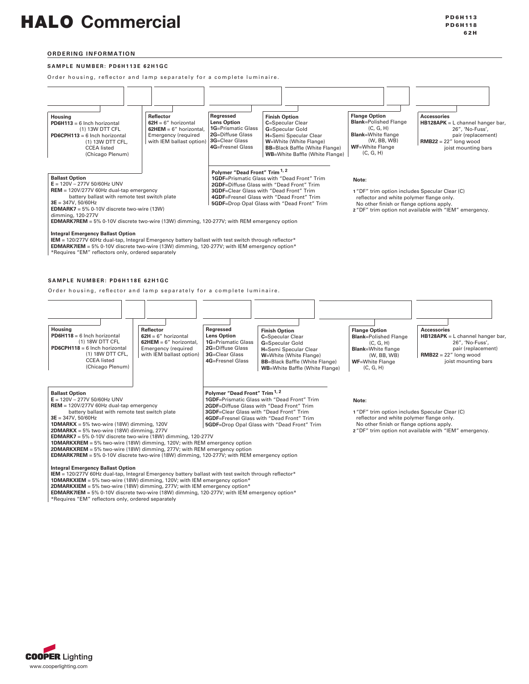### HALO Commercial

#### **Ord ering information**

#### **SAMPLE NUMBER: PD6H113E 62H1GC**

Order housing, reflector and lamp separately for a complete luminaire.



#### **Integral Emergency Ballast Option**

**IEM** = 120/277V 60Hz dual-tap, Integral Emergency battery ballast with test switch through reflector\* **EDMARK7IEM** = 5% 0-10V discrete two-wire (13W) dimming, 120-277V; with IEM emergency option\* \*Requires "EM" reflectors only, ordered separately

SAMPLE NUMBER: PD6H118E 62H1GC

Order housing, reflector and lamp separately for a complete luminaire.



**1DMARKXIEM** = 5% two-wire (18W) dimming, 120V; with IEM emergency option\* **2DMARKXIEM** = 5% two-wire (18W) dimming, 277V; with IEM emergency option\*

**EDMARK7IEM** = 5% 0-10V discrete two-wire (18W) dimming, 120-277V; with IEM emergency option\* \*Requires "EM" reflectors only, ordered separately